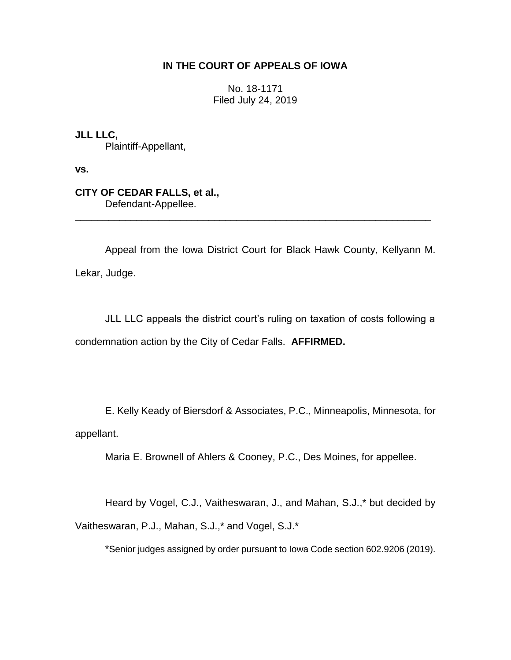## **IN THE COURT OF APPEALS OF IOWA**

No. 18-1171 Filed July 24, 2019

**JLL LLC,** Plaintiff-Appellant,

**vs.**

**CITY OF CEDAR FALLS, et al.,** Defendant-Appellee.

Appeal from the Iowa District Court for Black Hawk County, Kellyann M. Lekar, Judge.

\_\_\_\_\_\_\_\_\_\_\_\_\_\_\_\_\_\_\_\_\_\_\_\_\_\_\_\_\_\_\_\_\_\_\_\_\_\_\_\_\_\_\_\_\_\_\_\_\_\_\_\_\_\_\_\_\_\_\_\_\_\_\_\_

JLL LLC appeals the district court's ruling on taxation of costs following a condemnation action by the City of Cedar Falls. **AFFIRMED.**

E. Kelly Keady of Biersdorf & Associates, P.C., Minneapolis, Minnesota, for appellant.

Maria E. Brownell of Ahlers & Cooney, P.C., Des Moines, for appellee.

Heard by Vogel, C.J., Vaitheswaran, J., and Mahan, S.J.,\* but decided by Vaitheswaran, P.J., Mahan, S.J.,\* and Vogel, S.J.\*

\*Senior judges assigned by order pursuant to Iowa Code section 602.9206 (2019).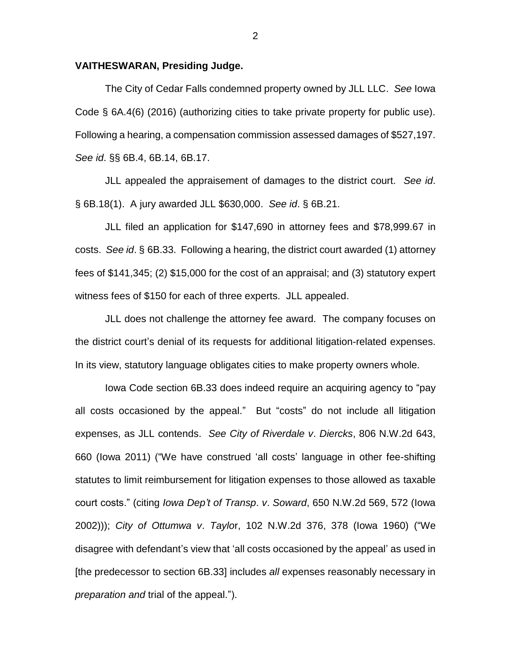## **VAITHESWARAN, Presiding Judge.**

The City of Cedar Falls condemned property owned by JLL LLC. *See* Iowa Code § 6A.4(6) (2016) (authorizing cities to take private property for public use). Following a hearing, a compensation commission assessed damages of \$527,197. *See id*. §§ 6B.4, 6B.14, 6B.17.

JLL appealed the appraisement of damages to the district court. *See id*. § 6B.18(1). A jury awarded JLL \$630,000. *See id*. § 6B.21.

JLL filed an application for \$147,690 in attorney fees and \$78,999.67 in costs. *See id*. § 6B.33. Following a hearing, the district court awarded (1) attorney fees of \$141,345; (2) \$15,000 for the cost of an appraisal; and (3) statutory expert witness fees of \$150 for each of three experts. JLL appealed.

JLL does not challenge the attorney fee award. The company focuses on the district court's denial of its requests for additional litigation-related expenses. In its view, statutory language obligates cities to make property owners whole.

Iowa Code section 6B.33 does indeed require an acquiring agency to "pay all costs occasioned by the appeal." But "costs" do not include all litigation expenses, as JLL contends. *See City of Riverdale v*. *Diercks*, 806 N.W.2d 643, 660 (Iowa 2011) ("We have construed 'all costs' language in other fee-shifting statutes to limit reimbursement for litigation expenses to those allowed as taxable court costs." (citing *Iowa Dep't of Transp*. *v*. *Soward*, 650 N.W.2d 569, 572 (Iowa 2002))); *City of Ottumwa v*. *Taylo*r, 102 N.W.2d 376, 378 (Iowa 1960) ("We disagree with defendant's view that 'all costs occasioned by the appeal' as used in [the predecessor to section 6B.33] includes *all* expenses reasonably necessary in *preparation and* trial of the appeal.").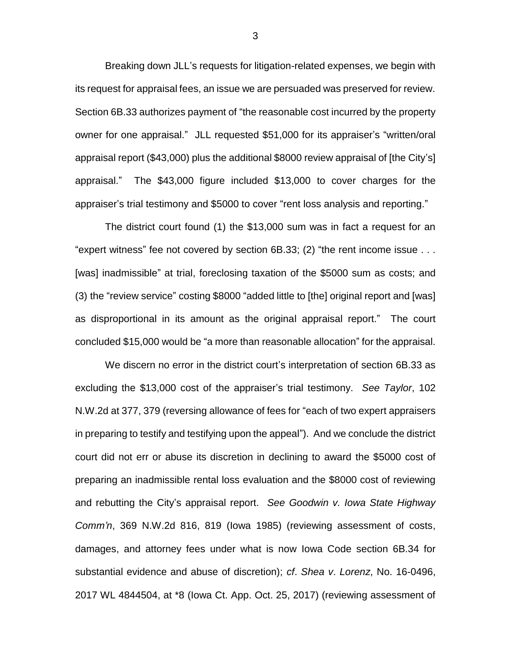Breaking down JLL's requests for litigation-related expenses, we begin with its request for appraisal fees, an issue we are persuaded was preserved for review. Section 6B.33 authorizes payment of "the reasonable cost incurred by the property owner for one appraisal." JLL requested \$51,000 for its appraiser's "written/oral appraisal report (\$43,000) plus the additional \$8000 review appraisal of [the City's] appraisal." The \$43,000 figure included \$13,000 to cover charges for the appraiser's trial testimony and \$5000 to cover "rent loss analysis and reporting."

The district court found (1) the \$13,000 sum was in fact a request for an "expert witness" fee not covered by section 6B.33; (2) "the rent income issue . . . [was] inadmissible" at trial, foreclosing taxation of the \$5000 sum as costs; and (3) the "review service" costing \$8000 "added little to [the] original report and [was] as disproportional in its amount as the original appraisal report." The court concluded \$15,000 would be "a more than reasonable allocation" for the appraisal.

We discern no error in the district court's interpretation of section 6B.33 as excluding the \$13,000 cost of the appraiser's trial testimony. *See Taylor*, 102 N.W.2d at 377, 379 (reversing allowance of fees for "each of two expert appraisers in preparing to testify and testifying upon the appeal"). And we conclude the district court did not err or abuse its discretion in declining to award the \$5000 cost of preparing an inadmissible rental loss evaluation and the \$8000 cost of reviewing and rebutting the City's appraisal report. *See Goodwin v. Iowa State Highway Comm'n*, 369 N.W.2d 816, 819 (Iowa 1985) (reviewing assessment of costs, damages, and attorney fees under what is now Iowa Code section 6B.34 for substantial evidence and abuse of discretion); *cf*. *Shea v*. *Lorenz*, No. 16-0496, 2017 WL 4844504, at \*8 (Iowa Ct. App. Oct. 25, 2017) (reviewing assessment of

3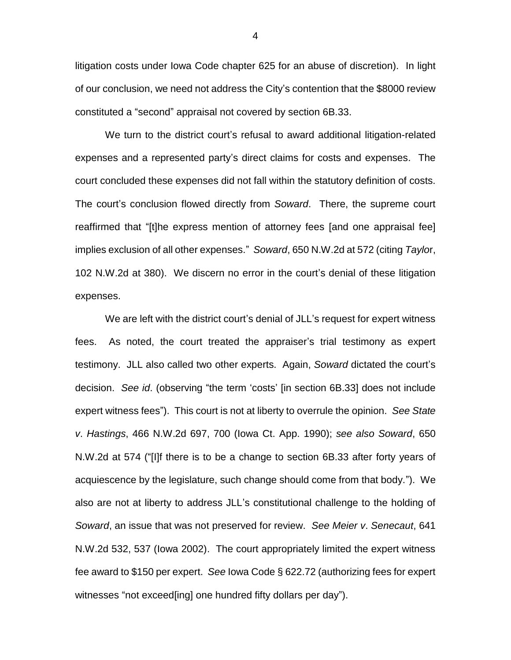litigation costs under Iowa Code chapter 625 for an abuse of discretion). In light of our conclusion, we need not address the City's contention that the \$8000 review constituted a "second" appraisal not covered by section 6B.33.

 We turn to the district court's refusal to award additional litigation-related expenses and a represented party's direct claims for costs and expenses. The court concluded these expenses did not fall within the statutory definition of costs. The court's conclusion flowed directly from *Soward*. There, the supreme court reaffirmed that "[t]he express mention of attorney fees [and one appraisal fee] implies exclusion of all other expenses." *Soward*, 650 N.W.2d at 572 (citing *Taylo*r, 102 N.W.2d at 380). We discern no error in the court's denial of these litigation expenses.

We are left with the district court's denial of JLL's request for expert witness fees. As noted, the court treated the appraiser's trial testimony as expert testimony. JLL also called two other experts. Again, *Soward* dictated the court's decision. *See id*. (observing "the term 'costs' [in section 6B.33] does not include expert witness fees"). This court is not at liberty to overrule the opinion. *See State v*. *Hastings*, 466 N.W.2d 697, 700 (Iowa Ct. App. 1990); *see also Soward*, 650 N.W.2d at 574 ("[I]f there is to be a change to section 6B.33 after forty years of acquiescence by the legislature, such change should come from that body."). We also are not at liberty to address JLL's constitutional challenge to the holding of *Soward*, an issue that was not preserved for review. *See Meier v*. *Senecaut*, 641 N.W.2d 532, 537 (Iowa 2002). The court appropriately limited the expert witness fee award to \$150 per expert. *See* Iowa Code § 622.72 (authorizing fees for expert witnesses "not exceed[ing] one hundred fifty dollars per day").